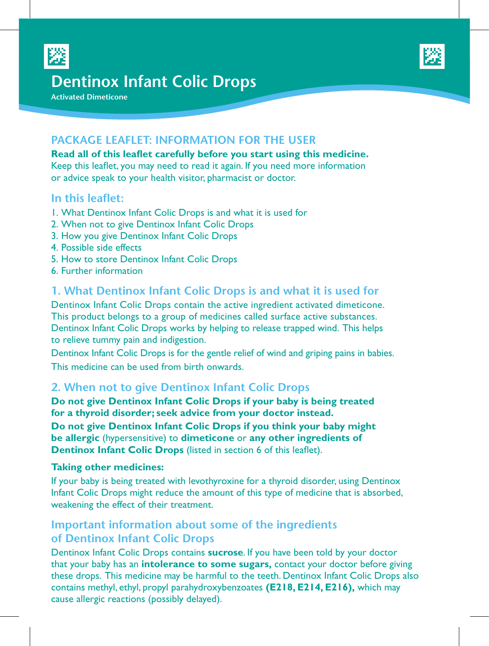



# **Dentinox Infant Colic Drops**

**Activated Dimeticone**

# **PACKAGE LEAFLET: INFORMATION FOR THE USER**

**Read all of this leaflet carefully before you start using this medicine.**  Keep this leaflet, you may need to read it again. If you need more information or advice speak to your health visitor, pharmacist or doctor.

### **In this leaflet:**

- 1. What Dentinox Infant Colic Drops is and what it is used for
- 2. When not to give Dentinox Infant Colic Drops
- 3. How you give Dentinox Infant Colic Drops
- 4. Possible side effects
- 5. How to store Dentinox Infant Colic Drops
- 6. Further information

### **1. What Dentinox Infant Colic Drops is and what it is used for**

Dentinox Infant Colic Drops contain the active ingredient activated dimeticone. This product belongs to a group of medicines called surface active substances. Dentinox Infant Colic Drops works by helping to release trapped wind. This helps to relieve tummy pain and indigestion.

Dentinox Infant Colic Drops is for the gentle relief of wind and griping pains in babies. This medicine can be used from birth onwards.

#### **2. When not to give Dentinox Infant Colic Drops**

**Do not give Dentinox Infant Colic Drops if your baby is being treated for a thyroid disorder; seek advice from your doctor instead.**

**Do not give Dentinox Infant Colic Drops if you think your baby might be allergic** (hypersensitive) to **dimeticone** or **any other ingredients of Dentinox Infant Colic Drops** (listed in section 6 of this leaflet).

#### **Taking other medicines:**

If your baby is being treated with levothyroxine for a thyroid disorder, using Dentinox Infant Colic Drops might reduce the amount of this type of medicine that is absorbed, weakening the effect of their treatment.

# **Important information about some of the ingredients of Dentinox Infant Colic Drops**

Dentinox Infant Colic Drops contains **sucrose**. If you have been told by your doctor that your baby has an **intolerance to some sugars,** contact your doctor before giving these drops. This medicine may be harmful to the teeth. Dentinox Infant Colic Drops also contains methyl, ethyl, propyl parahydroxybenzoates **(E218, E214, E216),** which may cause allergic reactions (possibly delayed).